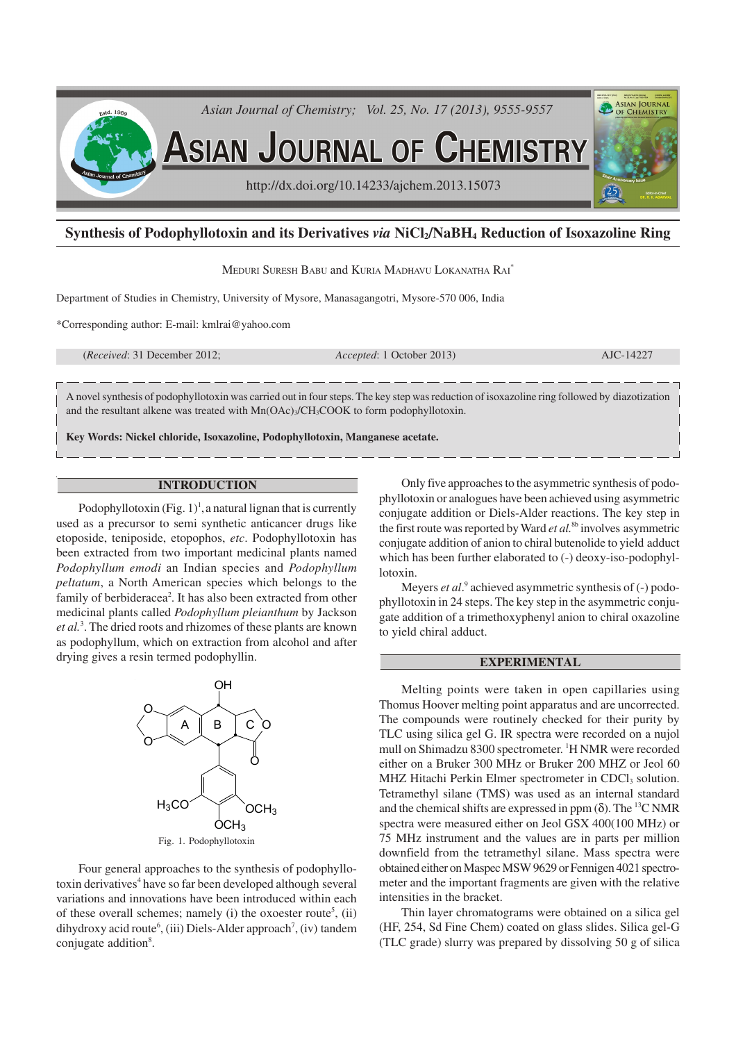

# **Synthesis of Podophyllotoxin and its Derivatives** *via* **NiCl2/NaBH4 Reduction of Isoxazoline Ring**

MEDURI SURESH BABU and KURIA MADHAVU LOKANATHA RAI\*

Department of Studies in Chemistry, University of Mysore, Manasagangotri, Mysore-570 006, India

\*Corresponding author: E-mail: kmlrai@yahoo.com

(*Received*: 31 December 2012; *Accepted*: 1 October 2013) AJC-14227

A novel synthesis of podophyllotoxin was carried out in four steps. The key step was reduction of isoxazoline ring followed by diazotization and the resultant alkene was treated with  $Mn(OAc)<sub>3</sub>/CH<sub>3</sub>COOK$  to form podophyllotoxin.

**Key Words: Nickel chloride, Isoxazoline, Podophyllotoxin, Manganese acetate.**

### **INTRODUCTION**

Podophyllotoxin  $(Fig. 1)<sup>1</sup>$ , a natural lignan that is currently used as a precursor to semi synthetic anticancer drugs like etoposide, teniposide, etopophos, *etc*. Podophyllotoxin has been extracted from two important medicinal plants named *Podophyllum emodi* an Indian species and *Podophyllum peltatum*, a North American species which belongs to the family of berbideracea<sup>2</sup>. It has also been extracted from other medicinal plants called *Podophyllum pleianthum* by Jackson *et al.*<sup>3</sup> . The dried roots and rhizomes of these plants are known as podophyllum, which on extraction from alcohol and after drying gives a resin termed podophyllin.



Four general approaches to the synthesis of podophyllotoxin derivatives<sup>4</sup> have so far been developed although several variations and innovations have been introduced within each of these overall schemes; namely  $(i)$  the oxoester route<sup>5</sup>,  $(ii)$ dihydroxy acid route<sup>6</sup>, (iii) Diels-Alder approach<sup>7</sup>, (iv) tandem conjugate addition<sup>8</sup>.

Only five approaches to the asymmetric synthesis of podophyllotoxin or analogues have been achieved using asymmetric conjugate addition or Diels-Alder reactions. The key step in the first route was reported by Ward *et al.*8b involves asymmetric conjugate addition of anion to chiral butenolide to yield adduct which has been further elaborated to (-) deoxy-iso-podophyllotoxin.

Meyers *et al.*<sup>9</sup> achieved asymmetric synthesis of (-) podophyllotoxin in 24 steps. The key step in the asymmetric conjugate addition of a trimethoxyphenyl anion to chiral oxazoline to yield chiral adduct.

## **EXPERIMENTAL**

Melting points were taken in open capillaries using Thomus Hoover melting point apparatus and are uncorrected. The compounds were routinely checked for their purity by TLC using silica gel G. IR spectra were recorded on a nujol mull on Shimadzu 8300 spectrometer. <sup>1</sup>H NMR were recorded either on a Bruker 300 MHz or Bruker 200 MHZ or Jeol 60 MHZ Hitachi Perkin Elmer spectrometer in CDCl<sub>3</sub> solution. Tetramethyl silane (TMS) was used as an internal standard and the chemical shifts are expressed in ppm ( $\delta$ ). The <sup>13</sup>C NMR spectra were measured either on Jeol GSX 400(100 MHz) or 75 MHz instrument and the values are in parts per million downfield from the tetramethyl silane. Mass spectra were obtained either on Maspec MSW 9629 or Fennigen 4021 spectrometer and the important fragments are given with the relative intensities in the bracket.

Thin layer chromatograms were obtained on a silica gel (HF, 254, Sd Fine Chem) coated on glass slides. Silica gel-G (TLC grade) slurry was prepared by dissolving 50 g of silica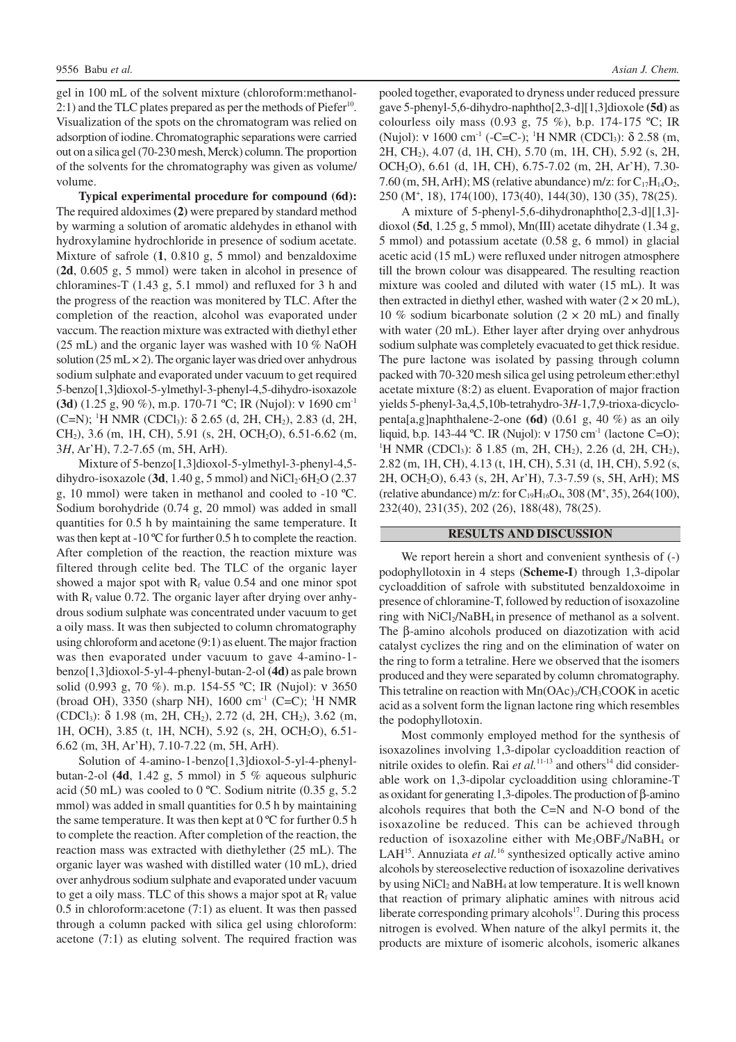gel in 100 mL of the solvent mixture (chloroform:methanol-2:1) and the TLC plates prepared as per the methods of Piefer<sup>10</sup>. Visualization of the spots on the chromatogram was relied on adsorption of iodine. Chromatographic separations were carried out on a silica gel (70-230 mesh, Merck) column. The proportion of the solvents for the chromatography was given as volume/ volume.

**Typical experimental procedure for compound (6d):** The required aldoximes **(2)** were prepared by standard method by warming a solution of aromatic aldehydes in ethanol with hydroxylamine hydrochloride in presence of sodium acetate. Mixture of safrole (**1**, 0.810 g, 5 mmol) and benzaldoxime (**2d**, 0.605 g, 5 mmol) were taken in alcohol in presence of chloramines-T (1.43 g, 5.1 mmol) and refluxed for 3 h and the progress of the reaction was monitered by TLC. After the completion of the reaction, alcohol was evaporated under vaccum. The reaction mixture was extracted with diethyl ether (25 mL) and the organic layer was washed with 10 % NaOH solution  $(25 \text{ mL} \times 2)$ . The organic layer was dried over anhydrous sodium sulphate and evaporated under vacuum to get required 5-benzo[1,3]dioxol-5-ylmethyl-3-phenyl-4,5-dihydro-isoxazole **(3d)** (1.25 g, 90 %), m.p. 170-71 ºC; IR (Nujol): ν 1690 cm-1 (C=N); <sup>1</sup>H NMR (CDCl<sub>3</sub>): δ 2.65 (d, 2H, CH<sub>2</sub>), 2.83 (d, 2H, CH2), 3.6 (m, 1H, CH), 5.91 (s, 2H, OCH2O), 6.51-6.62 (m, 3*H*, Ar'H), 7.2-7.65 (m, 5H, ArH).

Mixture of 5-benzo[1,3]dioxol-5-ylmethyl-3-phenyl-4,5 dihydro-isoxazole (3d,  $1.40$  g, 5 mmol) and NiCl<sub>2</sub>·6H<sub>2</sub>O (2.37) g, 10 mmol) were taken in methanol and cooled to -10 ºC. Sodium borohydride (0.74 g, 20 mmol) was added in small quantities for 0.5 h by maintaining the same temperature. It was then kept at -10 °C for further 0.5 h to complete the reaction. After completion of the reaction, the reaction mixture was filtered through celite bed. The TLC of the organic layer showed a major spot with  $R_f$  value 0.54 and one minor spot with  $R_f$  value 0.72. The organic layer after drying over anhydrous sodium sulphate was concentrated under vacuum to get a oily mass. It was then subjected to column chromatography using chloroform and acetone (9:1) as eluent. The major fraction was then evaporated under vacuum to gave 4-amino-1 benzo[1,3]dioxol-5-yl-4-phenyl-butan-2-ol **(4d)** as pale brown solid (0.993 g, 70 %). m.p. 154-55 °C; IR (Nujol): ν 3650 (broad OH), 3350 (sharp NH), 1600 cm<sup>-1</sup> (C=C); <sup>1</sup>H NMR (CDCl3): δ 1.98 (m, 2H, CH2), 2.72 (d, 2H, CH2), 3.62 (m, 1H, OCH), 3.85 (t, 1H, NCH), 5.92 (s, 2H, OCH2O), 6.51- 6.62 (m, 3H, Ar'H), 7.10-7.22 (m, 5H, ArH).

Solution of 4-amino-1-benzo[1,3]dioxol-5-yl-4-phenylbutan-2-ol **(4d**, 1.42 g, 5 mmol) in 5 % aqueous sulphuric acid (50 mL) was cooled to 0 ºC. Sodium nitrite (0.35 g, 5.2 mmol) was added in small quantities for 0.5 h by maintaining the same temperature. It was then kept at  $0^{\circ}$ C for further 0.5 h to complete the reaction. After completion of the reaction, the reaction mass was extracted with diethylether (25 mL). The organic layer was washed with distilled water (10 mL), dried over anhydrous sodium sulphate and evaporated under vacuum to get a oily mass. TLC of this shows a major spot at  $R_f$  value 0.5 in chloroform:acetone (7:1) as eluent. It was then passed through a column packed with silica gel using chloroform: acetone (7:1) as eluting solvent. The required fraction was pooled together, evaporated to dryness under reduced pressure gave 5-phenyl-5,6-dihydro-naphtho[2,3-d][1,3]dioxole **(5d)** as colourless oily mass (0.93 g, 75 %), b.p. 174-175 ºC; IR (Nujol): ν 1600 cm<sup>-1</sup> (-C=C-); <sup>1</sup>H NMR (CDCl<sub>3</sub>): δ 2.58 (m, 2H, CH2), 4.07 (d, 1H, CH), 5.70 (m, 1H, CH), 5.92 (s, 2H, OCH2O), 6.61 (d, 1H, CH), 6.75-7.02 (m, 2H, Ar'H), 7.30- 7.60 (m, 5H, ArH); MS (relative abundance) m/z: for  $C_{17}H_{14}O_2$ , 250 (M<sup>+</sup> , 18), 174(100), 173(40), 144(30), 130 (35), 78(25).

A mixture of 5-phenyl-5,6-dihydronaphtho[2,3-d][1,3] dioxol (**5d**, 1.25 g, 5 mmol), Mn(III) acetate dihydrate (1.34 g, 5 mmol) and potassium acetate (0.58 g, 6 mmol) in glacial acetic acid (15 mL) were refluxed under nitrogen atmosphere till the brown colour was disappeared. The resulting reaction mixture was cooled and diluted with water (15 mL). It was then extracted in diethyl ether, washed with water  $(2 \times 20 \text{ mL})$ , 10 % sodium bicarbonate solution  $(2 \times 20 \text{ mL})$  and finally with water (20 mL). Ether layer after drying over anhydrous sodium sulphate was completely evacuated to get thick residue. The pure lactone was isolated by passing through column packed with 70-320 mesh silica gel using petroleum ether:ethyl acetate mixture (8:2) as eluent. Evaporation of major fraction yields 5-phenyl-3a,4,5,10b-tetrahydro-3*H*-1,7,9-trioxa-dicyclopenta[a,g]naphthalene-2-one **(6d)** (0.61 g, 40 %) as an oily liquid, b.p. 143-44 °C. IR (Nujol):  $v$  1750 cm<sup>-1</sup> (lactone C=O); <sup>1</sup>H NMR (CDCl<sub>3</sub>): δ 1.85 (m, 2H, CH<sub>2</sub>), 2.26 (d, 2H, CH<sub>2</sub>), 2.82 (m, 1H, CH), 4.13 (t, 1H, CH), 5.31 (d, 1H, CH), 5.92 (s, 2H, OCH2O), 6.43 (s, 2H, Ar'H), 7.3-7.59 (s, 5H, ArH); MS (relative abundance) m/z: for  $C_{19}H_{16}O_4$ , 308 (M<sup>+</sup>, 35), 264(100), 232(40), 231(35), 202 (26), 188(48), 78(25).

### **RESULTS AND DISCUSSION**

We report herein a short and convenient synthesis of  $(-)$ podophyllotoxin in 4 steps (**Scheme-I**) through 1,3-dipolar cycloaddition of safrole with substituted benzaldoxoime in presence of chloramine-T, followed by reduction of isoxazoline ring with  $NiCl<sub>2</sub>/NaBH<sub>4</sub>$  in presence of methanol as a solvent. The β-amino alcohols produced on diazotization with acid catalyst cyclizes the ring and on the elimination of water on the ring to form a tetraline. Here we observed that the isomers produced and they were separated by column chromatography. This tetraline on reaction with Mn(OAc)<sub>3</sub>/CH<sub>3</sub>COOK in acetic acid as a solvent form the lignan lactone ring which resembles the podophyllotoxin.

Most commonly employed method for the synthesis of isoxazolines involving 1,3-dipolar cycloaddition reaction of nitrile oxides to olefin. Rai *et al*.<sup>11-13</sup> and others<sup>14</sup> did considerable work on 1,3-dipolar cycloaddition using chloramine-T as oxidant for generating 1,3-dipoles. The production of β-amino alcohols requires that both the C=N and N-O bond of the isoxazoline be reduced. This can be achieved through reduction of isoxazoline either with Me3OBF4/NaBH4 or LAH<sup>15</sup>. Annuziata *et al*.<sup>16</sup> synthesized optically active amino alcohols by stereoselective reduction of isoxazoline derivatives by using  $NiCl<sub>2</sub>$  and  $NaBH<sub>4</sub>$  at low temperature. It is well known that reaction of primary aliphatic amines with nitrous acid liberate corresponding primary alcohols $17$ . During this process nitrogen is evolved. When nature of the alkyl permits it, the products are mixture of isomeric alcohols, isomeric alkanes